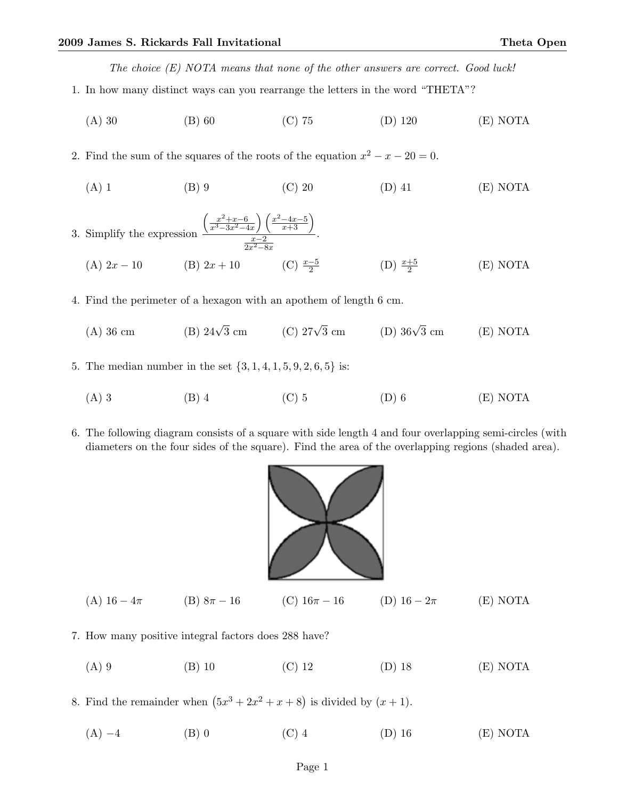The choice (E) NOTA means that none of the other answers are correct. Good luck!

- 1. In how many distinct ways can you rearrange the letters in the word "THETA"?
	- (A) 30 (B) 60 (C) 75 (D) 120 (E) NOTA
- 2. Find the sum of the squares of the roots of the equation  $x^2 x 20 = 0$ .
	- (A) 1 (B) 9 (C) 20 (D) 41 (E) NOTA

3. Simplify the expression 
$$
\frac{\left(\frac{x^2+x-6}{x^3-3x^2-4x}\right)\left(\frac{x^2-4x-5}{x+3}\right)}{\frac{x-2}{2x^2-8x}}.
$$
  
(A)  $2x-10$  (B)  $2x+10$  (C)  $\frac{x-5}{2}$  (D)  $\frac{x+5}{2}$  (E) NOTA

- 4. Find the perimeter of a hexagon with an apothem of length 6 cm.
	- (A) 36 cm (B)  $24\sqrt{3}$  cm (C)  $27\sqrt{3}$ (D)  $36\sqrt{3}$  cm  $(E) NOTA$
- 5. The median number in the set  $\{3, 1, 4, 1, 5, 9, 2, 6, 5\}$  is:
	- (A) 3 (B) 4 (C) 5 (D) 6 (E) NOTA
- 6. The following diagram consists of a square with side length 4 and four overlapping semi-circles (with diameters on the four sides of the square). Find the area of the overlapping regions (shaded area).



- (A)  $16 4\pi$  (B)  $8\pi 16$  (C)  $16\pi 16$  (D)  $16 2\pi$  (E) NOTA
- 7. How many positive integral factors does 288 have?
	- (A) 9 (B) 10 (C) 12 (D) 18 (E) NOTA

8. Find the remainder when  $(5x^3 + 2x^2 + x + 8)$  is divided by  $(x + 1)$ .

(A)  $-4$  (B) 0 (C) 4 (D) 16 (E) NOTA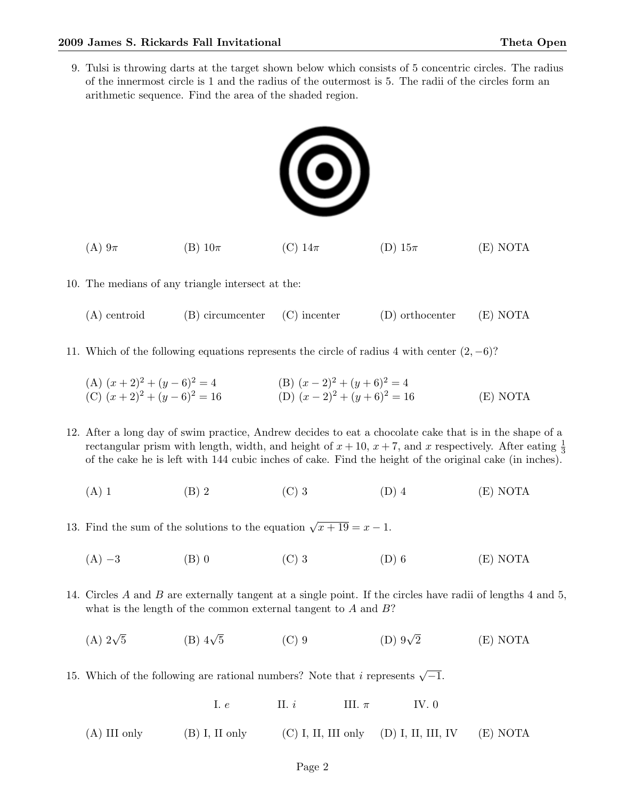9. Tulsi is throwing darts at the target shown below which consists of 5 concentric circles. The radius of the innermost circle is 1 and the radius of the outermost is 5. The radii of the circles form an arithmetic sequence. Find the area of the shaded region.



- (A)  $9\pi$  (B)  $10\pi$  (C)  $14\pi$  (D)  $15\pi$  (E) NOTA
- 10. The medians of any triangle intersect at the:
	- (A) centroid (B) circumcenter (C) incenter (D) orthocenter (E) NOTA
- 11. Which of the following equations represents the circle of radius 4 with center  $(2, -6)$ ?
	- (A)  $(x+2)^2 + (y-6)^2 = 4$  (B)  $(x-2)^2 + (y+6)^2 = 4$ (C)  $(x+2)^2 + (y-6)^2 = 16$  (D)  $(x-2)^2 + (y+6)^2 = 16$  (E) NOTA
- 12. After a long day of swim practice, Andrew decides to eat a chocolate cake that is in the shape of a rectangular prism with length, width, and height of  $x + 10$ ,  $x + 7$ , and x respectively. After eating  $\frac{1}{3}$ of the cake he is left with 144 cubic inches of cake. Find the height of the original cake (in inches).
	- (A) 1 (B) 2 (C) 3 (D) 4 (E) NOTA
- 13. Find the sum of the solutions to the equation  $\sqrt{x+19} = x-1$ .
	- (A)  $-3$  (B) 0 (C) 3 (D) 6 (E) NOTA
- 14. Circles A and B are externally tangent at a single point. If the circles have radii of lengths 4 and 5, what is the length of the common external tangent to  $A$  and  $B$ ?
	- $(A)$  2 $\sqrt{5}$  $(B)$  4 $\sqrt{5}$ (C) 9 (D)  $9\sqrt{2}$ 2 (E) NOTA
- 15. Which of the following are rational numbers? Note that *i* represents  $\sqrt{-1}$ .
	- I.  $e$  III.  $i$  III.  $\pi$  IV. 0
	- (A) III only (B) I, II only (C) I, II, III only (D) I, II, III, IV (E) NOTA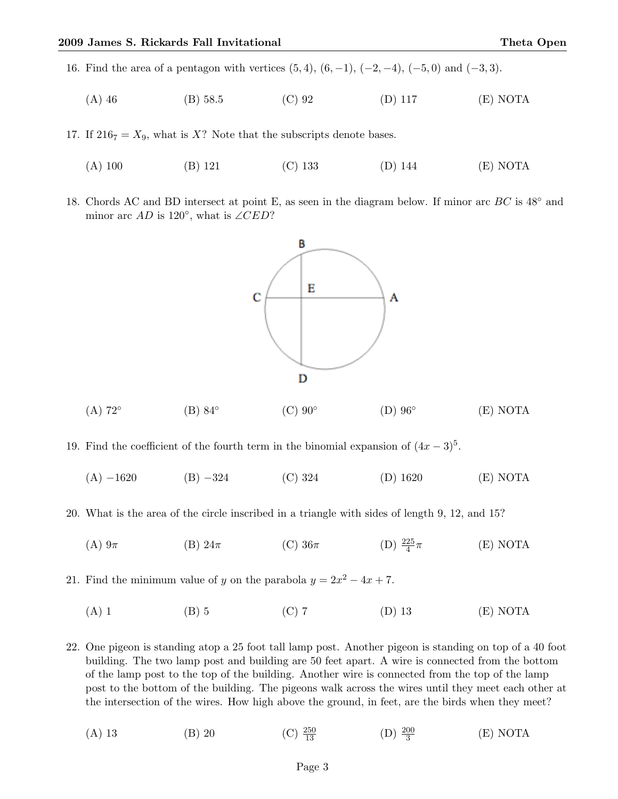16. Find the area of a pentagon with vertices  $(5, 4)$ ,  $(6, -1)$ ,  $(-2, -4)$ ,  $(-5, 0)$  and  $(-3, 3)$ .

(A) 46 (B) 58.5 (C) 92 (D) 117 (E) NOTA

17. If  $216_7 = X_9$ , what is X? Note that the subscripts denote bases.

- (A) 100 (B) 121 (C) 133 (D) 144 (E) NOTA
- 18. Chords AC and BD intersect at point E, as seen in the diagram below. If minor arc BC is  $48°$  and minor arc  $AD$  is 120 $^{\circ}$ , what is ∠CED?



 $(A)$  72° (B) 84◦  $(C)$  90 $\circ$  $(D)$  96 $\circ$ (E) NOTA

19. Find the coefficient of the fourth term in the binomial expansion of  $(4x-3)^5$ .

(A) −1620 (B) −324 (C) 324 (D) 1620 (E) NOTA

20. What is the area of the circle inscribed in a triangle with sides of length 9, 12, and 15?

(A)  $9\pi$  (B)  $24\pi$  (C)  $36\pi$  (D)  $\frac{225}{4}$ (E) NOTA

21. Find the minimum value of y on the parabola  $y = 2x^2 - 4x + 7$ .

(A) 1 (B) 5 (C) 7 (D) 13 (E) NOTA

22. One pigeon is standing atop a 25 foot tall lamp post. Another pigeon is standing on top of a 40 foot building. The two lamp post and building are 50 feet apart. A wire is connected from the bottom of the lamp post to the top of the building. Another wire is connected from the top of the lamp post to the bottom of the building. The pigeons walk across the wires until they meet each other at the intersection of the wires. How high above the ground, in feet, are the birds when they meet?

(A) 13 (B) 20 (C)  $\frac{250}{13}$  $\frac{250}{13}$  (D)  $\frac{200}{3}$ (E) NOTA